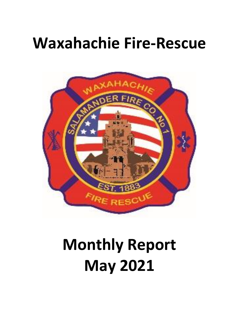# **Waxahachie Fire-Rescue**



# **Monthly Report May 2021**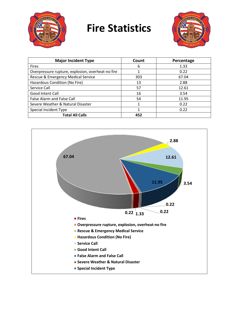

## **Fire Statistics**



| <b>Major Incident Type</b>                        | Count | Percentage |
|---------------------------------------------------|-------|------------|
| <b>Fires</b>                                      | 6     | 1.33       |
| Overpressure rupture, explosion, overheat-no fire | 1     | 0.22       |
| Rescue & Emergency Medical Service                | 303   | 67.04      |
| Hazardous Condition (No Fire)                     | 13    | 2.88       |
| Service Call                                      | 57    | 12.61      |
| Good Intent Call                                  | 16    | 3.54       |
| <b>False Alarm and False Call</b>                 | 54    | 11.95      |
| Severe Weather & Natural Disaster                 | 1     | 0.22       |
| Special Incident Type                             |       | 0.22       |
| <b>Total All Calls</b>                            | 452   |            |

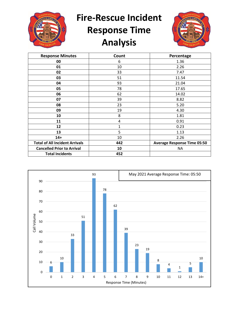

**Fire-Rescue Incident** 

### **Response Time Analysis**



| <b>Response Minutes</b>               | Count | Percentage                         |
|---------------------------------------|-------|------------------------------------|
| 00                                    | 6     | 1.36                               |
| 01                                    | 10    | 2.26                               |
| 02                                    | 33    | 7.47                               |
| 03                                    | 51    | 11.54                              |
| 04                                    | 93    | 21.04                              |
| 05                                    | 78    | 17.65                              |
| 06                                    | 62    | 14.02                              |
| 07                                    | 39    | 8.82                               |
| 08                                    | 23    | 5.20                               |
| 09                                    | 19    | 4.30                               |
| 10                                    | 8     | 1.81                               |
| 11                                    | 4     | 0.91                               |
| 12                                    | 1     | 0.23                               |
| 13                                    | 5     | 1.13                               |
| $14+$                                 | 10    | 2.26                               |
| <b>Total of All Incident Arrivals</b> | 442   | <b>Average Response Time 05:50</b> |
| <b>Cancelled Prior to Arrival</b>     | 10    | ΝA                                 |
| <b>Total Incidents</b>                | 452   |                                    |

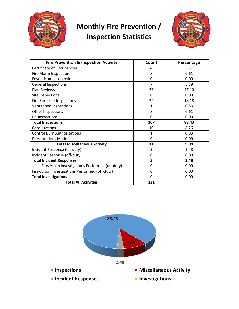

#### **Monthly Fire Prevention / Inspection Statistics**



| <b>Fire Prevention &amp; Inspection Activity</b> | Count          | Percentage |
|--------------------------------------------------|----------------|------------|
| Certificate of Occupancies                       | 4              | 3.31       |
| Fire Alarm Inspection                            | 8              | 6.61       |
| <b>Foster Home Inspections</b>                   | 0              | 0.00       |
| <b>General Inspections</b>                       | $\overline{7}$ | 5.79       |
| <b>Plan Reviews</b>                              | 57             | 47.10      |
| Site Inspections                                 | $\Omega$       | 0.00       |
| <b>Fire Sprinkler Inspections</b>                | 22             | 18.18      |
| Ventahood Inspections                            | 1              | 0.83       |
| Other Inspections                                | 8              | 6.61       |
| Re-Inspections                                   | 0              | 0.00       |
| <b>Total Inspections</b>                         | 107            | 88.43      |
| Consultations                                    | 10             | 8.26       |
| <b>Control Burn Authorizations</b>               | 1              | 0.83       |
| <b>Presentations Made</b>                        | $\Omega$       | 0.00       |
| <b>Total Miscellaneous Activity</b>              | 11             | 9.09       |
| Incident Response (on-duty)                      | 3              | 2.48       |
| Incident Response (off-duty)                     | 0              | 0.00       |
| <b>Total Incident Responses</b>                  | 3              | 2.48       |
| Fire/Arson Investigations Performed (on-duty)    | 0              | 0.00       |
| Fire/Arson Investigations Performed (off-duty)   | 0              | 0.00       |
| <b>Total Investigations</b>                      | 0              | 0.00       |
| <b>Total All Activities</b>                      | 121            |            |